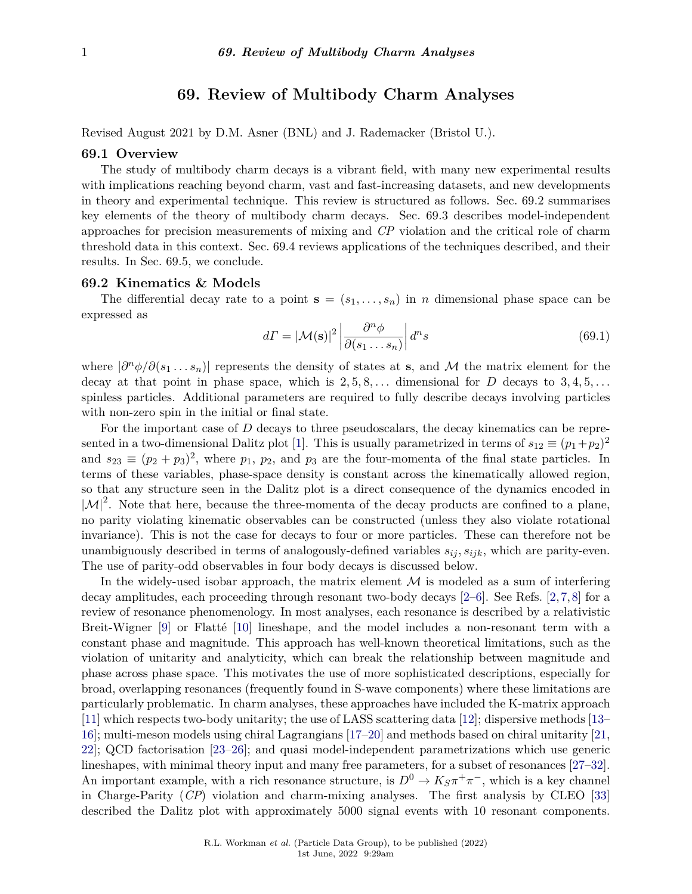# **69. Review of Multibody Charm Analyses**

Revised August 2021 by D.M. Asner (BNL) and J. Rademacker (Bristol U.).

## **69.1 Overview**

The study of multibody charm decays is a vibrant field, with many new experimental results with implications reaching beyond charm, vast and fast-increasing datasets, and new developments in theory and experimental technique. This review is structured as follows. Sec. 69.2 summarises key elements of the theory of multibody charm decays. Sec. 69.3 describes model-independent approaches for precision measurements of mixing and *CP* violation and the critical role of charm threshold data in this context. Sec. 69.4 reviews applications of the techniques described, and their results. In Sec. 69.5, we conclude.

#### **69.2 Kinematics & Models**

The differential decay rate to a point  $\mathbf{s} = (s_1, \ldots, s_n)$  in *n* dimensional phase space can be expressed as

$$
d\Gamma = |\mathcal{M}(\mathbf{s})|^2 \left| \frac{\partial^n \phi}{\partial (s_1 \dots s_n)} \right| d^n s \tag{69.1}
$$

where  $|\partial^n \phi / \partial (s_1 \dots s_n)|$  represents the density of states at **s**, and M the matrix element for the decay at that point in phase space, which is  $2, 5, 8, \ldots$  dimensional for *D* decays to  $3, 4, 5, \ldots$ spinless particles. Additional parameters are required to fully describe decays involving particles with non-zero spin in the initial or final state.

For the important case of *D* decays to three pseudoscalars, the decay kinematics can be repre-sented in a two-dimensional Dalitz plot [\[1\]](#page-4-0). This is usually parametrized in terms of  $s_{12} \equiv (p_1+p_2)^2$ and  $s_{23} \equiv (p_2 + p_3)^2$ , where  $p_1, p_2$ , and  $p_3$  are the four-momenta of the final state particles. In terms of these variables, phase-space density is constant across the kinematically allowed region, so that any structure seen in the Dalitz plot is a direct consequence of the dynamics encoded in  $|\mathcal{M}|^2$ . Note that here, because the three-momenta of the decay products are confined to a plane, no parity violating kinematic observables can be constructed (unless they also violate rotational invariance). This is not the case for decays to four or more particles. These can therefore not be unambiguously described in terms of analogously-defined variables  $s_{ij}, s_{ijk}$ , which are parity-even. The use of parity-odd observables in four body decays is discussed below.

In the widely-used isobar approach, the matrix element  $\mathcal M$  is modeled as a sum of interfering decay amplitudes, each proceeding through resonant two-body decays [\[2–](#page-4-1)[6\]](#page-4-2). See Refs. [\[2,](#page-4-1)[7,](#page-4-3)[8\]](#page-4-4) for a review of resonance phenomenology. In most analyses, each resonance is described by a relativistic Breit-Wigner [\[9\]](#page-4-5) or Flatté [\[10\]](#page-4-6) lineshape, and the model includes a non-resonant term with a constant phase and magnitude. This approach has well-known theoretical limitations, such as the violation of unitarity and analyticity, which can break the relationship between magnitude and phase across phase space. This motivates the use of more sophisticated descriptions, especially for broad, overlapping resonances (frequently found in S-wave components) where these limitations are particularly problematic. In charm analyses, these approaches have included the K-matrix approach [\[11\]](#page-4-7) which respects two-body unitarity; the use of LASS scattering data [\[12\]](#page-5-0); dispersive methods [\[13–](#page-5-1) [16\]](#page-5-2); multi-meson models using chiral Lagrangians [\[17–](#page-5-3)[20\]](#page-5-4) and methods based on chiral unitarity [\[21,](#page-5-5) [22\]](#page-5-6); QCD factorisation [\[23](#page-5-7)[–26\]](#page-5-8); and quasi model-independent parametrizations which use generic lineshapes, with minimal theory input and many free parameters, for a subset of resonances [\[27–](#page-5-9)[32\]](#page-5-10). An important example, with a rich resonance structure, is  $D^0 \to K_S \pi^+ \pi^-$ , which is a key channel in Charge-Parity (*CP*) violation and charm-mixing analyses. The first analysis by CLEO [\[33\]](#page-5-11) described the Dalitz plot with approximately 5000 signal events with 10 resonant components.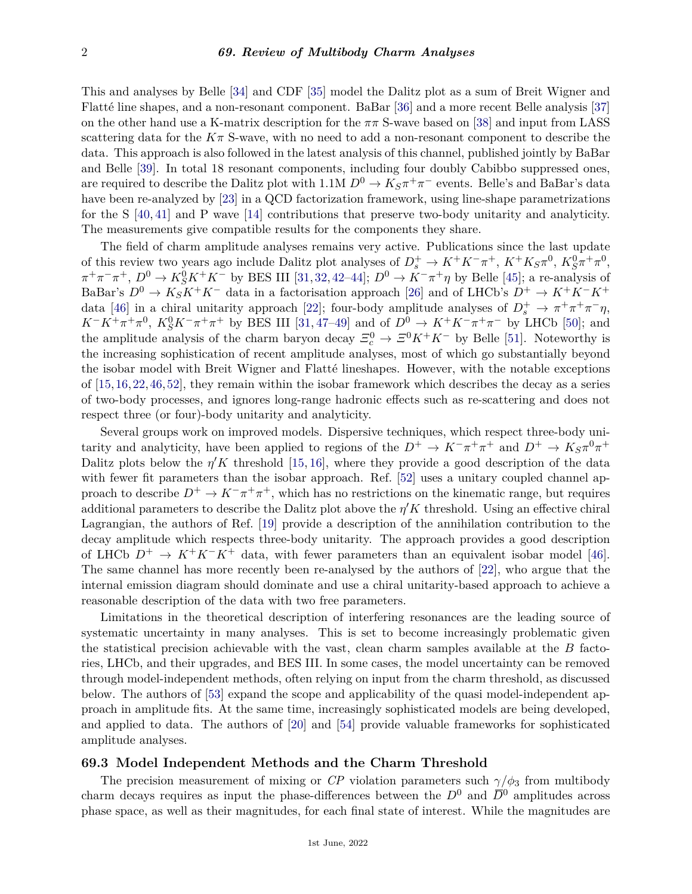This and analyses by Belle [\[34\]](#page-5-12) and CDF [\[35\]](#page-5-13) model the Dalitz plot as a sum of Breit Wigner and Flatté line shapes, and a non-resonant component. BaBar [\[36\]](#page-5-14) and a more recent Belle analysis [\[37\]](#page-5-15) on the other hand use a K-matrix description for the *ππ* S-wave based on [\[38\]](#page-5-16) and input from LASS scattering data for the  $K\pi$  S-wave, with no need to add a non-resonant component to describe the data. This approach is also followed in the latest analysis of this channel, published jointly by BaBar and Belle [\[39\]](#page-5-17). In total 18 resonant components, including four doubly Cabibbo suppressed ones, are required to describe the Dalitz plot with 1.1M  $D^0 \to K_S \pi^+ \pi^-$  events. Belle's and BaBar's data have been re-analyzed by [\[23\]](#page-5-7) in a QCD factorization framework, using line-shape parametrizations for the S [\[40,](#page-5-18) [41\]](#page-5-19) and P wave [\[14\]](#page-5-20) contributions that preserve two-body unitarity and analyticity. The measurements give compatible results for the components they share.

The field of charm amplitude analyses remains very active. Publications since the last update of this review two years ago include Dalitz plot analyses of  $D_s^+ \to K^+K^-\pi^+$ ,  $K^+K_S\pi^0$ ,  $K_S^0\pi^+\pi^0$ ,  $\pi^+\pi^-\pi^+$ ,  $D^0 \to K_S^0 K^+ K^-$  by BES III [\[31,](#page-5-21) [32,](#page-5-10) [42](#page-5-22)[–44\]](#page-5-23);  $D^0 \to K^-\pi^+\eta$  by Belle [\[45\]](#page-5-24); a re-analysis of BaBar's  $D^0 \to K_S K^+ K^-$  data in a factorisation approach [\[26\]](#page-5-8) and of LHCb's  $D^+ \to K^+ K^- K^+$ data [\[46\]](#page-5-25) in a chiral unitarity approach [\[22\]](#page-5-6); four-body amplitude analyses of  $D_s^+ \to \pi^+ \pi^+ \pi^- \eta$ ,  $K^-K^+\pi^+\pi^0$ ,  $K_S^0K^-\pi^+\pi^+$  by BES III [\[31,](#page-5-21) [47–](#page-6-0)[49\]](#page-6-1) and of  $D^0 \to K^+K^-\pi^+\pi^-$  by LHCb [\[50\]](#page-6-2); and the amplitude analysis of the charm baryon decay  $\mathcal{Z}_c^0 \to \mathcal{Z}^0 K^+ K^-$  by Belle [\[51\]](#page-6-3). Noteworthy is the increasing sophistication of recent amplitude analyses, most of which go substantially beyond the isobar model with Breit Wigner and Flatté lineshapes. However, with the notable exceptions of [\[15,](#page-5-26)[16,](#page-5-2)[22,](#page-5-6)[46,](#page-5-25)[52\]](#page-6-4), they remain within the isobar framework which describes the decay as a series of two-body processes, and ignores long-range hadronic effects such as re-scattering and does not respect three (or four)-body unitarity and analyticity.

Several groups work on improved models. Dispersive techniques, which respect three-body unitarity and analyticity, have been applied to regions of the  $D^+ \to K^-\pi^+\pi^+$  and  $D^+ \to K_S\pi^0\pi^+$ Dalitz plots below the  $\eta' K$  threshold [\[15,](#page-5-26) [16\]](#page-5-2), where they provide a good description of the data with fewer fit parameters than the isobar approach. Ref. [\[52\]](#page-6-4) uses a unitary coupled channel approach to describe  $D^+ \to K^-\pi^+\pi^+$ , which has no restrictions on the kinematic range, but requires additional parameters to describe the Dalitz plot above the  $\eta' K$  threshold. Using an effective chiral Lagrangian, the authors of Ref. [\[19\]](#page-5-27) provide a description of the annihilation contribution to the decay amplitude which respects three-body unitarity. The approach provides a good description of LHCb  $D^+ \to K^+K^-K^+$  data, with fewer parameters than an equivalent isobar model [\[46\]](#page-5-25). The same channel has more recently been re-analysed by the authors of [\[22\]](#page-5-6), who argue that the internal emission diagram should dominate and use a chiral unitarity-based approach to achieve a reasonable description of the data with two free parameters.

Limitations in the theoretical description of interfering resonances are the leading source of systematic uncertainty in many analyses. This is set to become increasingly problematic given the statistical precision achievable with the vast, clean charm samples available at the *B* factories, LHCb, and their upgrades, and BES III. In some cases, the model uncertainty can be removed through model-independent methods, often relying on input from the charm threshold, as discussed below. The authors of [\[53\]](#page-6-5) expand the scope and applicability of the quasi model-independent approach in amplitude fits. At the same time, increasingly sophisticated models are being developed, and applied to data. The authors of [\[20\]](#page-5-4) and [\[54\]](#page-6-6) provide valuable frameworks for sophisticated amplitude analyses.

## **69.3 Model Independent Methods and the Charm Threshold**

The precision measurement of mixing or *CP* violation parameters such  $\gamma/\phi_3$  from multibody charm decays requires as input the phase-differences between the  $D^0$  and  $\overline{D}^0$  amplitudes across phase space, as well as their magnitudes, for each final state of interest. While the magnitudes are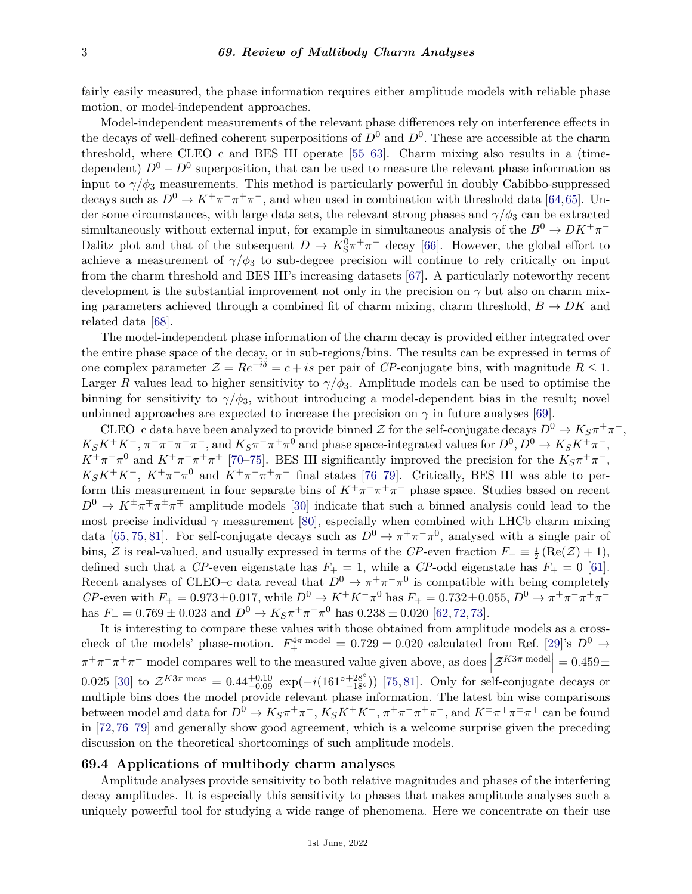fairly easily measured, the phase information requires either amplitude models with reliable phase motion, or model-independent approaches.

Model-independent measurements of the relevant phase differences rely on interference effects in the decays of well-defined coherent superpositions of  $D^0$  and  $\overline{D}^0$ . These are accessible at the charm threshold, where CLEO–c and BES III operate [\[55–](#page-6-7)[63\]](#page-6-8). Charm mixing also results in a (timedependent)  $D^0 - \overline{D}{}^0$  superposition, that can be used to measure the relevant phase information as input to  $\gamma/\phi_3$  measurements. This method is particularly powerful in doubly Cabibbo-suppressed decays such as  $D^0 \to K^+\pi^-\pi^+\pi^-$ , and when used in combination with threshold data [\[64,](#page-6-9)[65\]](#page-6-10). Under some circumstances, with large data sets, the relevant strong phases and  $\gamma/\phi_3$  can be extracted simultaneously without external input, for example in simultaneous analysis of the  $B^0 \to D K^+ \pi^-$ Dalitz plot and that of the subsequent  $D \to K_S^0 \pi^+ \pi^-$  decay [\[66\]](#page-6-11). However, the global effort to achieve a measurement of  $\gamma/\phi_3$  to sub-degree precision will continue to rely critically on input from the charm threshold and BES III's increasing datasets [\[67\]](#page-6-12). A particularly noteworthy recent development is the substantial improvement not only in the precision on  $\gamma$  but also on charm mixing parameters achieved through a combined fit of charm mixing, charm threshold,  $B \to D K$  and related data [\[68\]](#page-6-13).

The model-independent phase information of the charm decay is provided either integrated over the entire phase space of the decay, or in sub-regions/bins. The results can be expressed in terms of one complex parameter  $\mathcal{Z} = Re^{-i\delta} = c + is$  per pair of *CP*-conjugate bins, with magnitude  $R \leq 1$ . Larger *R* values lead to higher sensitivity to  $\gamma/\phi_3$ . Amplitude models can be used to optimise the binning for sensitivity to  $\gamma/\phi_3$ , without introducing a model-dependent bias in the result; novel unbinned approaches are expected to increase the precision on  $\gamma$  in future analyses [\[69\]](#page-6-14).

CLEO–c data have been analyzed to provide binned  $\mathcal Z$  for the self-conjugate decays  $D^0 \to K_S \pi^+ \pi^-$ ,  $K_S K^+ K^-, \pi^+ \pi^- \pi^+ \pi^-,$  and  $K_S \pi^- \pi^+ \pi^0$  and phase space-integrated values for  $D^0, \overline{D}{}^0 \to K_S K^+ \pi^-,$  $K^+\pi^-\pi^0$  and  $K^+\pi^-\pi^+\pi^+$  [\[70](#page-6-15)[–75\]](#page-6-16). BES III significantly improved the precision for the  $K_S\pi^+\pi^-$ ,  $K_S K^+ K^-$ ,  $K^+ \pi^- \pi^0$  and  $K^+ \pi^- \pi^+ \pi^-$  final states [\[76–](#page-6-17)[79\]](#page-6-18). Critically, BES III was able to perform this measurement in four separate bins of  $K^+\pi^-\pi^+\pi^-$  phase space. Studies based on recent  $D^0 \to K^{\pm} \pi^{\mp} \pi^{\pm} \pi^{\mp}$  amplitude models [\[30\]](#page-5-28) indicate that such a binned analysis could lead to the most precise individual  $\gamma$  measurement [\[80\]](#page-6-19), especially when combined with LHCb charm mixing data [\[65,](#page-6-10) [75,](#page-6-16) [81\]](#page-6-20). For self-conjugate decays such as  $D^0 \to \pi^+\pi^-\pi^0$ , analysed with a single pair of bins,  $\mathcal Z$  is real-valued, and usually expressed in terms of the *CP*-even fraction  $F_+ \equiv \frac{1}{2} (\text{Re}(\mathcal Z) + 1)$ , defined such that a *CP*-even eigenstate has  $F_+ = 1$ , while a *CP*-odd eigenstate has  $F_+ = 0$  [\[61\]](#page-6-21). Recent analyses of CLEO–c data reveal that  $D^0 \to \pi^+\pi^-\pi^0$  is compatible with being completely *CP*-even with  $F_+ = 0.973 \pm 0.017$ , while  $D^0 \to K^+ K^- \pi^0$  has  $F_+ = 0.732 \pm 0.055$ ,  $D^0 \to \pi^+ \pi^- \pi^+ \pi^$ has  $F_+ = 0.769 \pm 0.023$  and  $D^0 \to K_S \pi^+ \pi^- \pi^0$  has  $0.238 \pm 0.020$  [\[62,](#page-6-22) [72,](#page-6-23) [73\]](#page-6-24).

It is interesting to compare these values with those obtained from amplitude models as a crosscheck of the models' phase-motion.  $F_{+}^{4\pi \text{ model}} = 0.729 \pm 0.020$  calculated from Ref. [\[29\]](#page-5-29)'s  $D^{0} \rightarrow$  $\pi^+\pi^-\pi^+\pi^-$  model compares well to the measured value given above, as does  $\left| \mathcal{Z}^{K3\pi \text{ model}} \right| = 0.459 \pm$  $\overline{\phantom{a}}$ 0.025 [\[30\]](#page-5-28) to  $\mathcal{Z}^{K3\pi \text{ meas}} = 0.44^{+0.10}_{-0.09} \exp(-i(161^{\circ}{}_{-18^{\circ}}^{+28^{\circ}}))$  [\[75,](#page-6-16) [81\]](#page-6-20). Only for self-conjugate decays or multiple bins does the model provide relevant phase information. The latest bin wise comparisons between model and data for  $D^0 \to K_S \pi^+ \pi^-$ ,  $K_S K^+ K^-$ ,  $\pi^+ \pi^- \pi^+ \pi^-$ , and  $K^{\pm} \pi^{\mp} \pi^{\pm} \pi^{\mp}$  can be found in [\[72,](#page-6-23)[76–](#page-6-17)[79\]](#page-6-18) and generally show good agreement, which is a welcome surprise given the preceding discussion on the theoretical shortcomings of such amplitude models.

## **69.4 Applications of multibody charm analyses**

Amplitude analyses provide sensitivity to both relative magnitudes and phases of the interfering decay amplitudes. It is especially this sensitivity to phases that makes amplitude analyses such a uniquely powerful tool for studying a wide range of phenomena. Here we concentrate on their use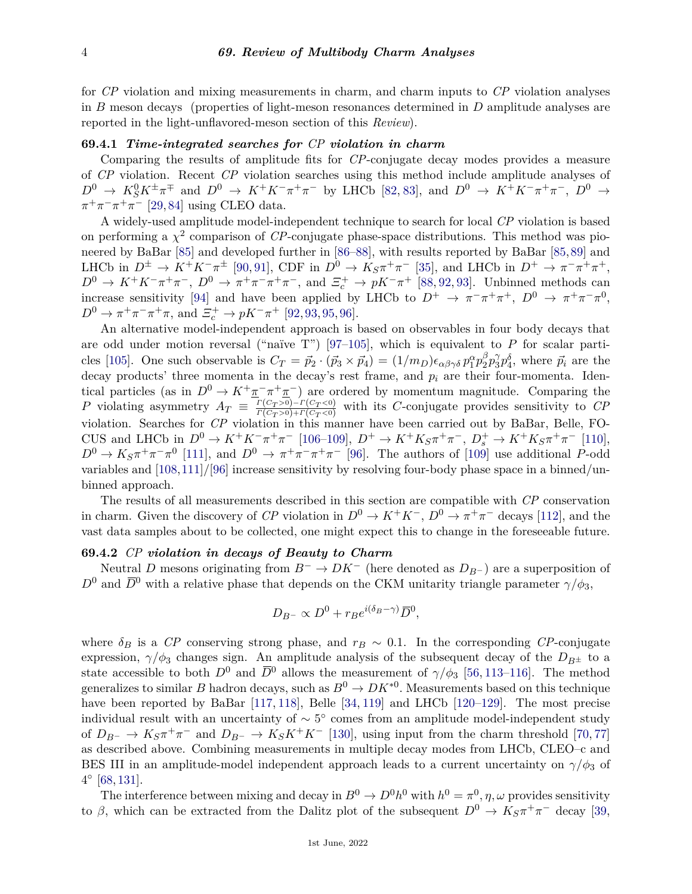for *CP* violation and mixing measurements in charm, and charm inputs to *CP* violation analyses in *B* meson decays (properties of light-meson resonances determined in *D* amplitude analyses are reported in the light-unflavored-meson section of this *Review*).

# **69.4.1** *Time-integrated searches for CP violation in charm*

Comparing the results of amplitude fits for *CP*-conjugate decay modes provides a measure of *CP* violation. Recent *CP* violation searches using this method include amplitude analyses of  $D^0 \to K_S^0 K^{\pm} \pi^{\mp}$  and  $D^0 \to K^+ K^- \pi^+ \pi^-$  by LHCb [\[82,](#page-6-25) [83\]](#page-7-0), and  $D^0 \to K^+ K^- \pi^+ \pi^-$ ,  $D^0 \to$  $\pi^+\pi^-\pi^+\pi^-$  [\[29,](#page-5-29)[84\]](#page-7-1) using CLEO data.

A widely-used amplitude model-independent technique to search for local *CP* violation is based on performing a  $\chi^2$  comparison of *CP*-conjugate phase-space distributions. This method was pioneered by BaBar [\[85\]](#page-7-2) and developed further in [\[86–](#page-7-3)[88\]](#page-7-4), with results reported by BaBar [\[85,](#page-7-2)[89\]](#page-7-5) and LHCb in  $D^{\pm} \to K^{+}K^{-}\pi^{\pm}$  [\[90,](#page-7-6) [91\]](#page-7-7), CDF in  $D^{0} \to K_{S}\pi^{+}\pi^{-}$  [\[35\]](#page-5-13), and LHCb in  $D^{+} \to \pi^{-}\pi^{+}\pi^{+}$ ,  $D^0 \to K^+K^-\pi^+\pi^-$ ,  $D^0 \to \pi^+\pi^-\pi^+\pi^-$ , and  $\Xi_c^+ \to pK^-\pi^+$  [\[88,](#page-7-4) [92,](#page-7-8) [93\]](#page-7-9). Unbinned methods can increase sensitivity [\[94\]](#page-7-10) and have been applied by LHCb to  $D^+ \to \pi^- \pi^+ \pi^+$ ,  $D^0 \to \pi^+ \pi^- \pi^0$ ,  $D^0 \to \pi^+ \pi^- \pi^+ \pi$ , and  $\Xi_c^+ \to pK^- \pi^+$  [\[92,](#page-7-8) [93,](#page-7-9) [95,](#page-7-11) [96\]](#page-7-12).

An alternative model-independent approach is based on observables in four body decays that are odd under motion reversal ("naïve T") [\[97–](#page-7-13)[105\]](#page-7-14), which is equivalent to *P* for scalar parti-cles [\[105\]](#page-7-14). One such observable is  $C_T = \vec{p}_2 \cdot (\vec{p}_3 \times \vec{p}_4) = (1/m_D)\epsilon_{\alpha\beta\gamma\delta} p_1^{\alpha} p_2^{\beta}$  $\frac{\beta}{2}p_3^{\gamma}$  $\tilde{j}_1^{\gamma} p_4^{\delta}$ , where  $\vec{p}_i$  are the decay products' three momenta in the decay's rest frame, and  $p_i$  are their four-momenta. Identical particles (as in  $D^0 \to K^+\pi^-\pi^+\pi^-$ ) are ordered by momentum magnitude. Comparing the *P* violating asymmetry  $A_T \equiv \frac{\Gamma(C_T > 0) - \Gamma(C_T < 0)}{\Gamma(C_T > 0) + \Gamma(C_T < 0)}$  $\frac{\Gamma(C_T>0)-\Gamma(C_T<0)}{\Gamma(C_T>0)+\Gamma(C_T<0)}$  with its *C*-conjugate provides sensitivity to *CP* violation. Searches for *CP* violation in this manner have been carried out by BaBar, Belle, FO-CUS and LHCb in  $D^0 \to K^+K^-\pi^+\pi^-$  [\[106–](#page-7-15)[109\]](#page-7-16),  $D^+ \to K^+K_S\pi^+\pi^-$ ,  $D_s^+ \to K^+K_S\pi^+\pi^-$  [\[110\]](#page-7-17),  $D^0 \to K_S \pi^+ \pi^- \pi^0$  [\[111\]](#page-7-18), and  $D^0 \to \pi^+ \pi^- \pi^+ \pi^-$  [\[96\]](#page-7-12). The authors of [\[109\]](#page-7-16) use additional *P*-odd variables and [\[108,](#page-7-19)[111\]](#page-7-18)/[\[96\]](#page-7-12) increase sensitivity by resolving four-body phase space in a binned/unbinned approach.

The results of all measurements described in this section are compatible with *CP* conservation in charm. Given the discovery of *CP* violation in  $D^0 \to K^+K^-$ ,  $D^0 \to \pi^+\pi^-$  decays [\[112\]](#page-7-20), and the vast data samples about to be collected, one might expect this to change in the foreseeable future.

# **69.4.2** *CP violation in decays of Beauty to Charm*

Neutral *D* mesons originating from *B*<sup>−</sup> → *DK*<sup>−</sup> (here denoted as *DB*<sup>−</sup> ) are a superposition of  $D^0$  and  $\overline{D}^0$  with a relative phase that depends on the CKM unitarity triangle parameter  $\gamma/\phi_3$ ,

$$
D_{B^{-}} \propto D^{0} + r_{B}e^{i(\delta_{B}-\gamma)}\overline{D}^{0},
$$

where  $\delta_B$  is a *CP* conserving strong phase, and  $r_B \sim 0.1$ . In the corresponding *CP*-conjugate expression,  $\gamma/\phi_3$  changes sign. An amplitude analysis of the subsequent decay of the  $D_{B^{\pm}}$  to a state accessible to both  $D^0$  and  $\overline{D}^0$  allows the measurement of  $\gamma/\phi_3$  [\[56,](#page-6-26) [113](#page-7-21)[–116\]](#page-7-22). The method generalizes to similar *B* hadron decays, such as  $B^0 \to D K^{*0}$ . Measurements based on this technique have been reported by BaBar [\[117,](#page-7-23) [118\]](#page-7-24), Belle [\[34,](#page-5-12) [119\]](#page-7-25) and LHCb [\[120–](#page-7-26)[129\]](#page-8-0). The most precise individual result with an uncertainty of  $\sim 5^{\circ}$  comes from an amplitude model-independent study of  $D_{B}$ − →  $K_S \pi^+ \pi^-$  and  $D_{B}$ − →  $K_S K^+ K^-$  [\[130\]](#page-8-1), using input from the charm threshold [\[70,](#page-6-15)[77\]](#page-6-27) as described above. Combining measurements in multiple decay modes from LHCb, CLEO–c and BES III in an amplitude-model independent approach leads to a current uncertainty on  $\gamma/\phi_3$  of  $4^{\circ}$  [\[68,](#page-6-13) [131\]](#page-8-2).

The interference between mixing and decay in  $B^0 \to D^0 h^0$  with  $h^0 = \pi^0, \eta, \omega$  provides sensitivity to *β*, which can be extracted from the Dalitz plot of the subsequent  $D^0 \to K_S \pi^+ \pi^-$  decay [\[39,](#page-5-17)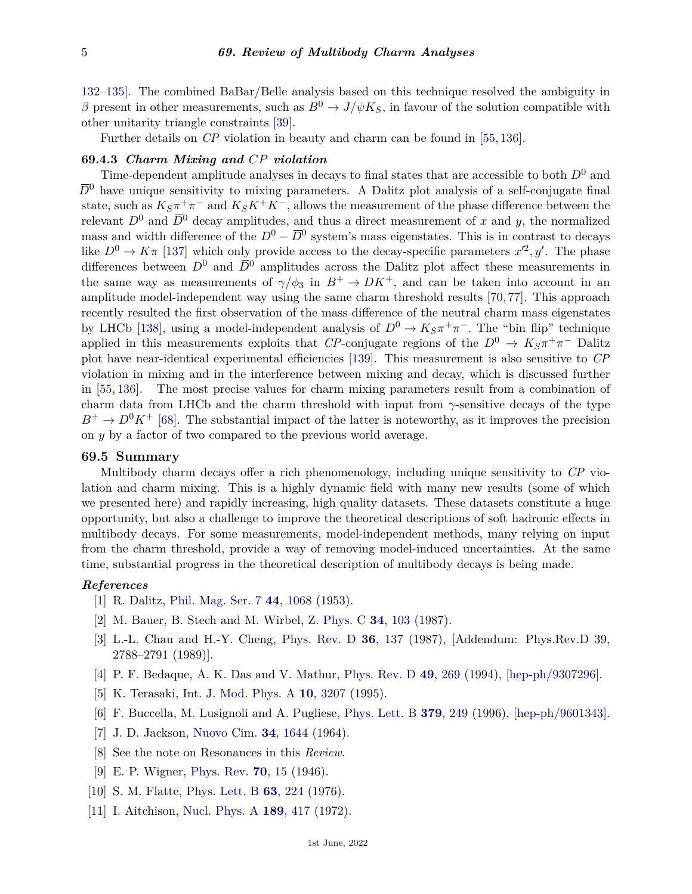[132](#page-8-3)[–135\]](#page-8-4). The combined BaBar/Belle analysis based on this technique resolved the ambiguity in *β* present in other measurements, such as  $B^0 \to J/\psi K_S$ , in favour of the solution compatible with other unitarity triangle constraints [\[39\]](#page-5-17).

Further details on *CP* violation in beauty and charm can be found in [\[55,](#page-6-7) [136\]](#page-8-5).

#### **69.4.3** *Charm Mixing and CP violation*

Time-dependent amplitude analyses in decays to final states that are accessible to both *D*<sup>0</sup> and  $\bar{D}^0$  have unique sensitivity to mixing parameters. A Dalitz plot analysis of a self-conjugate final state, such as  $K_S \pi^+ \pi^-$  and  $K_S K^+ K^-$ , allows the measurement of the phase difference between the relevant  $D^0$  and  $\overline{D}^0$  decay amplitudes, and thus a direct measurement of *x* and *y*, the normalized mass and width difference of the  $D^0 - \overline{D}{}^0$  system's mass eigenstates. This is in contrast to decays like  $D^0 \to K\pi$  [\[137\]](#page-8-6) which only provide access to the decay-specific parameters  $x'^2, y'$ . The phase differences between  $D^0$  and  $\overline{D}^0$  amplitudes across the Dalitz plot affect these measurements in the same way as measurements of  $\gamma/\phi_3$  in  $B^+ \to D K^+$ , and can be taken into account in an amplitude model-independent way using the same charm threshold results [\[70,](#page-6-15) [77\]](#page-6-27). This approach recently resulted the first observation of the mass difference of the neutral charm mass eigenstates by LHCb [\[138\]](#page-8-7), using a model-independent analysis of  $D^0 \to K_S \pi^+ \pi^-$ . The "bin flip" technique applied in this measurements exploits that *CP*-conjugate regions of the  $D^0 \to K_S \pi^+ \pi^-$  Dalitz plot have near-identical experimental efficiencies [\[139\]](#page-8-8). This measurement is also sensitive to *CP* violation in mixing and in the interference between mixing and decay, which is discussed further in [\[55,](#page-6-7) [136\]](#page-8-5). The most precise values for charm mixing parameters result from a combination of charm data from LHCb and the charm threshold with input from *γ*-sensitive decays of the type  $B^+ \to D^0 K^+$  [\[68\]](#page-6-13). The substantial impact of the latter is noteworthy, as it improves the precision on *y* by a factor of two compared to the previous world average.

## **69.5 Summary**

Multibody charm decays offer a rich phenomenology, including unique sensitivity to *CP* violation and charm mixing. This is a highly dynamic field with many new results (some of which we presented here) and rapidly increasing, high quality datasets. These datasets constitute a huge opportunity, but also a challenge to improve the theoretical descriptions of soft hadronic effects in multibody decays. For some measurements, model-independent methods, many relying on input from the charm threshold, provide a way of removing model-induced uncertainties. At the same time, substantial progress in the theoretical description of multibody decays is being made.

## <span id="page-4-0"></span>*References*

- [1] R. Dalitz, [Phil. Mag. Ser. 7](http://doi.org/10.1080/14786441008520365) **44**[, 1068](http://doi.org/10.1080/14786441008520365) (1953).
- <span id="page-4-1"></span>[2] M. Bauer, B. Stech and M. Wirbel, [Z. Phys. C](http://doi.org/10.1007/BF01561122) **34**[, 103](http://doi.org/10.1007/BF01561122) (1987).
- [3] L.-L. Chau and H.-Y. Cheng, [Phys. Rev. D](http://doi.org/10.1103/PhysRevD.39.2788) **36**[, 137](http://doi.org/10.1103/PhysRevD.39.2788) (1987), [Addendum: Phys.Rev.D 39, 2788–2791 (1989)].
- [4] P. F. Bedaque, A. K. Das and V. Mathur, [Phys. Rev. D](http://doi.org/10.1103/PhysRevD.49.269) **49**[, 269](http://doi.org/10.1103/PhysRevD.49.269) (1994), [\[hep-ph/9307296\].](https://arxiv.org/abs/hep-ph/9307296)
- [5] K. Terasaki, [Int. J. Mod. Phys. A](http://doi.org/10.1142/S0217751X95001546) **10**[, 3207](http://doi.org/10.1142/S0217751X95001546) (1995).
- <span id="page-4-2"></span>[6] F. Buccella, M. Lusignoli and A. Pugliese, [Phys. Lett. B](http://doi.org/10.1016/0370-2693(96)00460-1) **379**[, 249](http://doi.org/10.1016/0370-2693(96)00460-1) (1996), [\[hep-ph/9601343\].](https://arxiv.org/abs/hep-ph/9601343)
- <span id="page-4-3"></span>[7] J. D. Jackson, [Nuovo Cim.](http://doi.org/10.1007/BF02750563) **34**[, 1644](http://doi.org/10.1007/BF02750563) (1964).
- <span id="page-4-5"></span><span id="page-4-4"></span>[8] See the note on Resonances in this *Review*.
- [9] E. P. Wigner, [Phys. Rev.](http://doi.org/10.1103/PhysRev.70.15) **70**[, 15](http://doi.org/10.1103/PhysRev.70.15) (1946).
- <span id="page-4-7"></span><span id="page-4-6"></span>[10] S. M. Flatte, [Phys. Lett. B](http://doi.org/10.1016/0370-2693(76)90654-7) **63**[, 224](http://doi.org/10.1016/0370-2693(76)90654-7) (1976).
- [11] I. Aitchison, [Nucl. Phys. A](http://doi.org/10.1016/0375-9474(72)90305-3) **189**[, 417](http://doi.org/10.1016/0375-9474(72)90305-3) (1972).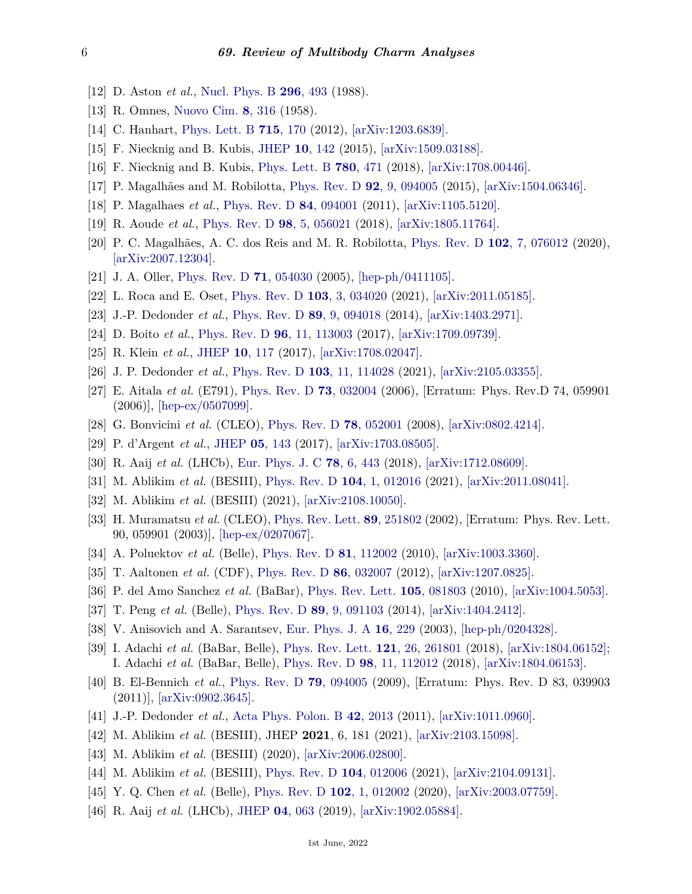- <span id="page-5-0"></span>[12] D. Aston *et al.*, [Nucl. Phys. B](http://doi.org/10.1016/0550-3213(88)90028-4) **296**[, 493](http://doi.org/10.1016/0550-3213(88)90028-4) (1988).
- <span id="page-5-1"></span>[13] R. Omnes, [Nuovo Cim.](http://doi.org/10.1007/BF02747746) **8**[, 316](http://doi.org/10.1007/BF02747746) (1958).
- <span id="page-5-20"></span>[14] C. Hanhart, [Phys. Lett. B](http://doi.org/10.1016/j.physletb.2012.07.038) **715**[, 170](http://doi.org/10.1016/j.physletb.2012.07.038) (2012), [\[arXiv:1203.6839\].](https://arxiv.org/abs/1203.6839)
- <span id="page-5-26"></span>[15] F. Niecknig and B. Kubis, [JHEP](http://doi.org/10.1007/JHEP10(2015)142) **10**[, 142](http://doi.org/10.1007/JHEP10(2015)142) (2015), [\[arXiv:1509.03188\].](https://arxiv.org/abs/1509.03188)
- <span id="page-5-2"></span>[16] F. Niecknig and B. Kubis, [Phys. Lett. B](http://doi.org/10.1016/j.physletb.2018.03.048) **780**[, 471](http://doi.org/10.1016/j.physletb.2018.03.048) (2018), [\[arXiv:1708.00446\].](https://arxiv.org/abs/1708.00446)
- <span id="page-5-3"></span>[17] P. Magalhães and M. Robilotta, [Phys. Rev. D](http://doi.org/10.1103/PhysRevD.92.094005) **92**[, 9, 094005](http://doi.org/10.1103/PhysRevD.92.094005) (2015), [\[arXiv:1504.06346\].](https://arxiv.org/abs/1504.06346)
- [18] P. Magalhaes *et al.*, [Phys. Rev. D](http://doi.org/10.1103/PhysRevD.84.094001) **84**[, 094001](http://doi.org/10.1103/PhysRevD.84.094001) (2011), [\[arXiv:1105.5120\].](https://arxiv.org/abs/1105.5120)
- <span id="page-5-27"></span>[19] R. Aoude *et al.*, [Phys. Rev. D](http://doi.org/10.1103/PhysRevD.98.056021) **98**[, 5, 056021](http://doi.org/10.1103/PhysRevD.98.056021) (2018), [\[arXiv:1805.11764\].](https://arxiv.org/abs/1805.11764)
- <span id="page-5-4"></span>[20] P. C. Magalhães, A. C. dos Reis and M. R. Robilotta, [Phys. Rev. D](http://doi.org/10.1103/PhysRevD.102.076012) **102**[, 7, 076012](http://doi.org/10.1103/PhysRevD.102.076012) (2020), [\[arXiv:2007.12304\].](https://arxiv.org/abs/2007.12304)
- <span id="page-5-5"></span>[21] J. A. Oller, [Phys. Rev. D](http://doi.org/10.1103/PhysRevD.71.054030) **71**[, 054030](http://doi.org/10.1103/PhysRevD.71.054030) (2005), [\[hep-ph/0411105\].](https://arxiv.org/abs/hep-ph/0411105)
- <span id="page-5-6"></span>[22] L. Roca and E. Oset, [Phys. Rev. D](http://doi.org/10.1103/PhysRevD.103.034020) **103**[, 3, 034020](http://doi.org/10.1103/PhysRevD.103.034020) (2021), [\[arXiv:2011.05185\].](https://arxiv.org/abs/2011.05185)
- <span id="page-5-7"></span>[23] J.-P. Dedonder *et al.*, [Phys. Rev. D](http://doi.org/10.1103/PhysRevD.89.094018) **89**[, 9, 094018](http://doi.org/10.1103/PhysRevD.89.094018) (2014), [\[arXiv:1403.2971\].](https://arxiv.org/abs/1403.2971)
- [24] D. Boito *et al.*, [Phys. Rev. D](http://doi.org/10.1103/PhysRevD.96.113003) **96**[, 11, 113003](http://doi.org/10.1103/PhysRevD.96.113003) (2017), [\[arXiv:1709.09739\].](https://arxiv.org/abs/1709.09739)
- [25] R. Klein *et al.*, [JHEP](http://doi.org/10.1007/JHEP10(2017)117) **10**[, 117](http://doi.org/10.1007/JHEP10(2017)117) (2017), [\[arXiv:1708.02047\].](https://arxiv.org/abs/1708.02047)
- <span id="page-5-8"></span>[26] J. P. Dedonder *et al.*, [Phys. Rev. D](http://doi.org/10.1103/PhysRevD.103.114028) **103**[, 11, 114028](http://doi.org/10.1103/PhysRevD.103.114028) (2021), [\[arXiv:2105.03355\].](https://arxiv.org/abs/2105.03355)
- <span id="page-5-9"></span>[27] E. Aitala *et al.* (E791), [Phys. Rev. D](http://doi.org/10.1103/PhysRevD.73.032004) **73**[, 032004](http://doi.org/10.1103/PhysRevD.73.032004) (2006), [Erratum: Phys. Rev.D 74, 059901 (2006)], [\[hep-ex/0507099\].](https://arxiv.org/abs/hep-ex/0507099)
- <span id="page-5-29"></span>[28] G. Bonvicini *et al.* (CLEO), [Phys. Rev. D](http://doi.org/10.1103/PhysRevD.78.052001) **78**[, 052001](http://doi.org/10.1103/PhysRevD.78.052001) (2008), [\[arXiv:0802.4214\].](https://arxiv.org/abs/0802.4214)
- [29] P. d'Argent *et al.*, [JHEP](http://doi.org/10.1007/JHEP05(2017)143) **05**[, 143](http://doi.org/10.1007/JHEP05(2017)143) (2017), [\[arXiv:1703.08505\].](https://arxiv.org/abs/1703.08505)
- <span id="page-5-28"></span>[30] R. Aaij *et al.* (LHCb), [Eur. Phys. J. C](http://doi.org/10.1140/epjc/s10052-018-5758-4) **78**[, 6, 443](http://doi.org/10.1140/epjc/s10052-018-5758-4) (2018), [\[arXiv:1712.08609\].](https://arxiv.org/abs/1712.08609)
- <span id="page-5-21"></span>[31] M. Ablikim *et al.* (BESIII), [Phys. Rev. D](http://doi.org/10.1103/PhysRevD.104.012016) **104**[, 1, 012016](http://doi.org/10.1103/PhysRevD.104.012016) (2021), [\[arXiv:2011.08041\].](https://arxiv.org/abs/2011.08041)
- <span id="page-5-10"></span>[32] M. Ablikim *et al.* (BESIII) (2021), [\[arXiv:2108.10050\].](https://arxiv.org/abs/2108.10050)
- <span id="page-5-11"></span>[33] H. Muramatsu *et al.* (CLEO), [Phys. Rev. Lett.](http://doi.org/10.1103/PhysRevLett.89.251802) **89**[, 251802](http://doi.org/10.1103/PhysRevLett.89.251802) (2002), [Erratum: Phys. Rev. Lett. 90, 059901 (2003)], [\[hep-ex/0207067\].](https://arxiv.org/abs/hep-ex/0207067)
- <span id="page-5-12"></span>[34] A. Poluektov *et al.* (Belle), [Phys. Rev. D](http://doi.org/10.1103/PhysRevD.81.112002) **81**[, 112002](http://doi.org/10.1103/PhysRevD.81.112002) (2010), [\[arXiv:1003.3360\].](https://arxiv.org/abs/1003.3360)
- <span id="page-5-13"></span>[35] T. Aaltonen *et al.* (CDF), [Phys. Rev. D](http://doi.org/10.1103/PhysRevD.86.032007) **86**[, 032007](http://doi.org/10.1103/PhysRevD.86.032007) (2012), [\[arXiv:1207.0825\].](https://arxiv.org/abs/1207.0825)
- <span id="page-5-14"></span>[36] P. del Amo Sanchez *et al.* (BaBar), [Phys. Rev. Lett.](http://doi.org/10.1103/PhysRevLett.105.081803) **105**[, 081803](http://doi.org/10.1103/PhysRevLett.105.081803) (2010), [\[arXiv:1004.5053\].](https://arxiv.org/abs/1004.5053)
- <span id="page-5-15"></span>[37] T. Peng *et al.* (Belle), [Phys. Rev. D](http://doi.org/10.1103/PhysRevD.89.091103) **89**[, 9, 091103](http://doi.org/10.1103/PhysRevD.89.091103) (2014), [\[arXiv:1404.2412\].](https://arxiv.org/abs/1404.2412)
- <span id="page-5-16"></span>[38] V. Anisovich and A. Sarantsev, [Eur. Phys. J. A](http://doi.org/10.1140/epja/i2002-10068-x) **16**[, 229](http://doi.org/10.1140/epja/i2002-10068-x) (2003), [\[hep-ph/0204328\].](https://arxiv.org/abs/hep-ph/0204328)
- <span id="page-5-17"></span>[39] I. Adachi *et al.* (BaBar, Belle), [Phys. Rev. Lett.](http://doi.org/10.1103/PhysRevLett.121.261801) **121**[, 26, 261801](http://doi.org/10.1103/PhysRevLett.121.261801) (2018), [\[arXiv:1804.06152\];](https://arxiv.org/abs/1804.06152) I. Adachi *et al.* (BaBar, Belle), [Phys. Rev. D](http://doi.org/10.1103/PhysRevD.98.112012) **98**[, 11, 112012](http://doi.org/10.1103/PhysRevD.98.112012) (2018), [\[arXiv:1804.06153\].](https://arxiv.org/abs/1804.06153)
- <span id="page-5-18"></span>[40] B. El-Bennich *et al.*, [Phys. Rev. D](http://doi.org/10.1103/PhysRevD.83.039903) **79**[, 094005](http://doi.org/10.1103/PhysRevD.83.039903) (2009), [Erratum: Phys. Rev. D 83, 039903 (2011)], [\[arXiv:0902.3645\].](https://arxiv.org/abs/0902.3645)
- <span id="page-5-19"></span>[41] J.-P. Dedonder *et al.*, [Acta Phys. Polon. B](http://doi.org/10.5506/APhysPolB.42.2013) **42**[, 2013](http://doi.org/10.5506/APhysPolB.42.2013) (2011), [\[arXiv:1011.0960\].](https://arxiv.org/abs/1011.0960)
- <span id="page-5-22"></span>[42] M. Ablikim *et al.* (BESIII), JHEP **2021**, 6, 181 (2021), [\[arXiv:2103.15098\].](https://arxiv.org/abs/2103.15098)
- [43] M. Ablikim *et al.* (BESIII) (2020), [\[arXiv:2006.02800\].](https://arxiv.org/abs/2006.02800)
- <span id="page-5-23"></span>[44] M. Ablikim *et al.* (BESIII), [Phys. Rev. D](http://doi.org/10.1103/PhysRevD.104.012006) **104**[, 012006](http://doi.org/10.1103/PhysRevD.104.012006) (2021), [\[arXiv:2104.09131\].](https://arxiv.org/abs/2104.09131)
- <span id="page-5-24"></span>[45] Y. Q. Chen *et al.* (Belle), [Phys. Rev. D](http://doi.org/10.1103/PhysRevD.102.012002) **102**[, 1, 012002](http://doi.org/10.1103/PhysRevD.102.012002) (2020), [\[arXiv:2003.07759\].](https://arxiv.org/abs/2003.07759)
- <span id="page-5-25"></span>[46] R. Aaij *et al.* (LHCb), [JHEP](http://doi.org/10.1007/JHEP04(2019)063) **04**[, 063](http://doi.org/10.1007/JHEP04(2019)063) (2019), [\[arXiv:1902.05884\].](https://arxiv.org/abs/1902.05884)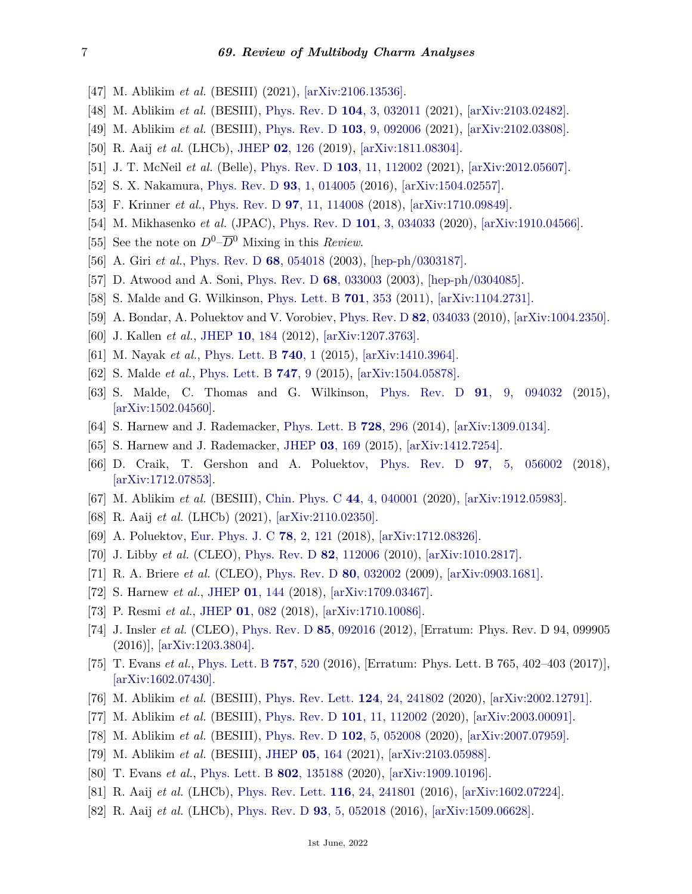- <span id="page-6-0"></span>[47] M. Ablikim *et al.* (BESIII) (2021), [\[arXiv:2106.13536\].](https://arxiv.org/abs/2106.13536)
- [48] M. Ablikim *et al.* (BESIII), [Phys. Rev. D](http://doi.org/10.1103/PhysRevD.104.032011) **104**[, 3, 032011](http://doi.org/10.1103/PhysRevD.104.032011) (2021), [\[arXiv:2103.02482\].](https://arxiv.org/abs/2103.02482)
- <span id="page-6-1"></span>[49] M. Ablikim *et al.* (BESIII), [Phys. Rev. D](http://doi.org/10.1103/PhysRevD.103.092006) **103**[, 9, 092006](http://doi.org/10.1103/PhysRevD.103.092006) (2021), [\[arXiv:2102.03808\].](https://arxiv.org/abs/2102.03808)
- <span id="page-6-2"></span>[50] R. Aaij *et al.* (LHCb), [JHEP](http://doi.org/10.1007/JHEP02(2019)126) **02**[, 126](http://doi.org/10.1007/JHEP02(2019)126) (2019), [\[arXiv:1811.08304\].](https://arxiv.org/abs/1811.08304)
- <span id="page-6-3"></span>[51] J. T. McNeil *et al.* (Belle), [Phys. Rev. D](http://doi.org/10.1103/PhysRevD.103.112002) **103**[, 11, 112002](http://doi.org/10.1103/PhysRevD.103.112002) (2021), [\[arXiv:2012.05607\].](https://arxiv.org/abs/2012.05607)
- <span id="page-6-4"></span>[52] S. X. Nakamura, [Phys. Rev. D](http://doi.org/10.1103/PhysRevD.93.014005) **93**[, 1, 014005](http://doi.org/10.1103/PhysRevD.93.014005) (2016), [\[arXiv:1504.02557\].](https://arxiv.org/abs/1504.02557)
- <span id="page-6-5"></span>[53] F. Krinner *et al.*, [Phys. Rev. D](http://doi.org/10.1103/PhysRevD.97.114008) **97**[, 11, 114008](http://doi.org/10.1103/PhysRevD.97.114008) (2018), [\[arXiv:1710.09849\].](https://arxiv.org/abs/1710.09849)
- <span id="page-6-6"></span>[54] M. Mikhasenko *et al.* (JPAC), [Phys. Rev. D](http://doi.org/10.1103/PhysRevD.101.034033) **101**[, 3, 034033](http://doi.org/10.1103/PhysRevD.101.034033) (2020), [\[arXiv:1910.04566\].](https://arxiv.org/abs/1910.04566)
- <span id="page-6-7"></span>[55] See the note on  $D^0$ – $\overline{D}{}^0$  Mixing in this *Review*.
- <span id="page-6-26"></span>[56] A. Giri *et al.*, [Phys. Rev. D](http://doi.org/10.1103/PhysRevD.68.054018) **68**[, 054018](http://doi.org/10.1103/PhysRevD.68.054018) (2003), [\[hep-ph/0303187\].](https://arxiv.org/abs/hep-ph/0303187)
- [57] D. Atwood and A. Soni, [Phys. Rev. D](http://doi.org/10.1103/PhysRevD.68.033003) **68**[, 033003](http://doi.org/10.1103/PhysRevD.68.033003) (2003), [\[hep-ph/0304085\].](https://arxiv.org/abs/hep-ph/0304085)
- [58] S. Malde and G. Wilkinson, [Phys. Lett. B](http://doi.org/10.1016/j.physletb.2011.05.072) **701**[, 353](http://doi.org/10.1016/j.physletb.2011.05.072) (2011), [\[arXiv:1104.2731\].](https://arxiv.org/abs/1104.2731)
- [59] A. Bondar, A. Poluektov and V. Vorobiev, [Phys. Rev. D](http://doi.org/10.1103/PhysRevD.82.034033) **82**[, 034033](http://doi.org/10.1103/PhysRevD.82.034033) (2010), [\[arXiv:1004.2350\].](https://arxiv.org/abs/1004.2350)
- [60] J. Kallen *et al.*, [JHEP](http://doi.org/10.1007/JHEP10(2012)184) **10**[, 184](http://doi.org/10.1007/JHEP10(2012)184) (2012), [\[arXiv:1207.3763\].](https://arxiv.org/abs/1207.3763)
- <span id="page-6-21"></span>[61] M. Nayak *et al.*, [Phys. Lett. B](http://doi.org/10.1016/j.physletb.2014.11.022) **[740](http://doi.org/10.1016/j.physletb.2014.11.022)**, 1 (2015), [\[arXiv:1410.3964\].](https://arxiv.org/abs/1410.3964)
- <span id="page-6-22"></span>[62] S. Malde *et al.*, [Phys. Lett. B](http://doi.org/10.1016/j.physletb.2015.05.043) **[747](http://doi.org/10.1016/j.physletb.2015.05.043)**, 9 (2015), [\[arXiv:1504.05878\].](https://arxiv.org/abs/1504.05878)
- <span id="page-6-8"></span>[63] S. Malde, C. Thomas and G. Wilkinson, [Phys. Rev. D](http://doi.org/10.1103/PhysRevD.91.094032) **91**[, 9, 094032](http://doi.org/10.1103/PhysRevD.91.094032) (2015), [\[arXiv:1502.04560\].](https://arxiv.org/abs/1502.04560)
- <span id="page-6-9"></span>[64] S. Harnew and J. Rademacker, [Phys. Lett. B](http://doi.org/10.1016/j.physletb.2013.11.065) **728**[, 296](http://doi.org/10.1016/j.physletb.2013.11.065) (2014), [\[arXiv:1309.0134\].](https://arxiv.org/abs/1309.0134)
- <span id="page-6-10"></span>[65] S. Harnew and J. Rademacker, [JHEP](http://doi.org/10.1007/JHEP03(2015)169) **03**[, 169](http://doi.org/10.1007/JHEP03(2015)169) (2015), [\[arXiv:1412.7254\].](https://arxiv.org/abs/1412.7254)
- <span id="page-6-11"></span>[66] D. Craik, T. Gershon and A. Poluektov, [Phys. Rev. D](http://doi.org/10.1103/PhysRevD.97.056002) **97**[, 5, 056002](http://doi.org/10.1103/PhysRevD.97.056002) (2018), [\[arXiv:1712.07853\].](https://arxiv.org/abs/1712.07853)
- <span id="page-6-12"></span>[67] M. Ablikim *et al.* (BESIII), [Chin. Phys. C](http://doi.org/10.1088/1674-1137/44/4/040001) **44**[, 4, 040001](http://doi.org/10.1088/1674-1137/44/4/040001) (2020), [\[arXiv:1912.05983\].](https://arxiv.org/abs/1912.05983)
- <span id="page-6-13"></span>[68] R. Aaij *et al.* (LHCb) (2021), [\[arXiv:2110.02350\].](https://arxiv.org/abs/2110.02350)
- <span id="page-6-14"></span>[69] A. Poluektov, [Eur. Phys. J. C](http://doi.org/10.1140/epjc/s10052-018-5599-1) **78**[, 2, 121](http://doi.org/10.1140/epjc/s10052-018-5599-1) (2018), [\[arXiv:1712.08326\].](https://arxiv.org/abs/1712.08326)
- <span id="page-6-15"></span>[70] J. Libby *et al.* (CLEO), [Phys. Rev. D](http://doi.org/10.1103/PhysRevD.82.112006) **82**[, 112006](http://doi.org/10.1103/PhysRevD.82.112006) (2010), [\[arXiv:1010.2817\].](https://arxiv.org/abs/1010.2817)
- [71] R. A. Briere *et al.* (CLEO), [Phys. Rev. D](http://doi.org/10.1103/PhysRevD.80.032002) **80**[, 032002](http://doi.org/10.1103/PhysRevD.80.032002) (2009), [\[arXiv:0903.1681\].](https://arxiv.org/abs/0903.1681)
- <span id="page-6-23"></span>[72] S. Harnew *et al.*, [JHEP](http://doi.org/10.1007/JHEP01(2018)144) **01**[, 144](http://doi.org/10.1007/JHEP01(2018)144) (2018), [\[arXiv:1709.03467\].](https://arxiv.org/abs/1709.03467)
- <span id="page-6-24"></span>[73] P. Resmi *et al.*, [JHEP](http://doi.org/10.1007/JHEP01(2018)082) **01**[, 082](http://doi.org/10.1007/JHEP01(2018)082) (2018), [\[arXiv:1710.10086\].](https://arxiv.org/abs/1710.10086)
- [74] J. Insler *et al.* (CLEO), [Phys. Rev. D](http://doi.org/10.1103/PhysRevD.85.092016) **85**[, 092016](http://doi.org/10.1103/PhysRevD.85.092016) (2012), [Erratum: Phys. Rev. D 94, 099905 (2016)], [\[arXiv:1203.3804\].](https://arxiv.org/abs/1203.3804)
- <span id="page-6-16"></span>[75] T. Evans *et al.*, [Phys. Lett. B](http://doi.org/10.1016/j.physletb.2016.04.037) **757**[, 520](http://doi.org/10.1016/j.physletb.2016.04.037) (2016), [Erratum: Phys. Lett. B 765, 402–403 (2017)], [\[arXiv:1602.07430\].](https://arxiv.org/abs/1602.07430)
- <span id="page-6-27"></span><span id="page-6-17"></span>[76] M. Ablikim *et al.* (BESIII), [Phys. Rev. Lett.](http://doi.org/10.1103/PhysRevLett.124.241802) **124**[, 24, 241802](http://doi.org/10.1103/PhysRevLett.124.241802) (2020), [\[arXiv:2002.12791\].](https://arxiv.org/abs/2002.12791)
- [77] M. Ablikim *et al.* (BESIII), [Phys. Rev. D](http://doi.org/10.1103/PhysRevD.101.112002) **101**[, 11, 112002](http://doi.org/10.1103/PhysRevD.101.112002) (2020), [\[arXiv:2003.00091\].](https://arxiv.org/abs/2003.00091)
- [78] M. Ablikim *et al.* (BESIII), [Phys. Rev. D](http://doi.org/10.1103/PhysRevD.102.052008) **102**[, 5, 052008](http://doi.org/10.1103/PhysRevD.102.052008) (2020), [\[arXiv:2007.07959\].](https://arxiv.org/abs/2007.07959)
- <span id="page-6-18"></span>[79] M. Ablikim *et al.* (BESIII), [JHEP](http://doi.org/10.1007/JHEP05(2021)164) **05**[, 164](http://doi.org/10.1007/JHEP05(2021)164) (2021), [\[arXiv:2103.05988\].](https://arxiv.org/abs/2103.05988)
- <span id="page-6-19"></span>[80] T. Evans *et al.*, [Phys. Lett. B](http://doi.org/10.1016/j.physletb.2019.135188) **802**[, 135188](http://doi.org/10.1016/j.physletb.2019.135188) (2020), [\[arXiv:1909.10196\].](https://arxiv.org/abs/1909.10196)
- <span id="page-6-20"></span>[81] R. Aaij *et al.* (LHCb), [Phys. Rev. Lett.](http://doi.org/10.1103/PhysRevLett.116.241801) **116**[, 24, 241801](http://doi.org/10.1103/PhysRevLett.116.241801) (2016), [\[arXiv:1602.07224\].](https://arxiv.org/abs/1602.07224)
- <span id="page-6-25"></span>[82] R. Aaij *et al.* (LHCb), [Phys. Rev. D](http://doi.org/10.1103/PhysRevD.93.052018) **93**[, 5, 052018](http://doi.org/10.1103/PhysRevD.93.052018) (2016), [\[arXiv:1509.06628\].](https://arxiv.org/abs/1509.06628)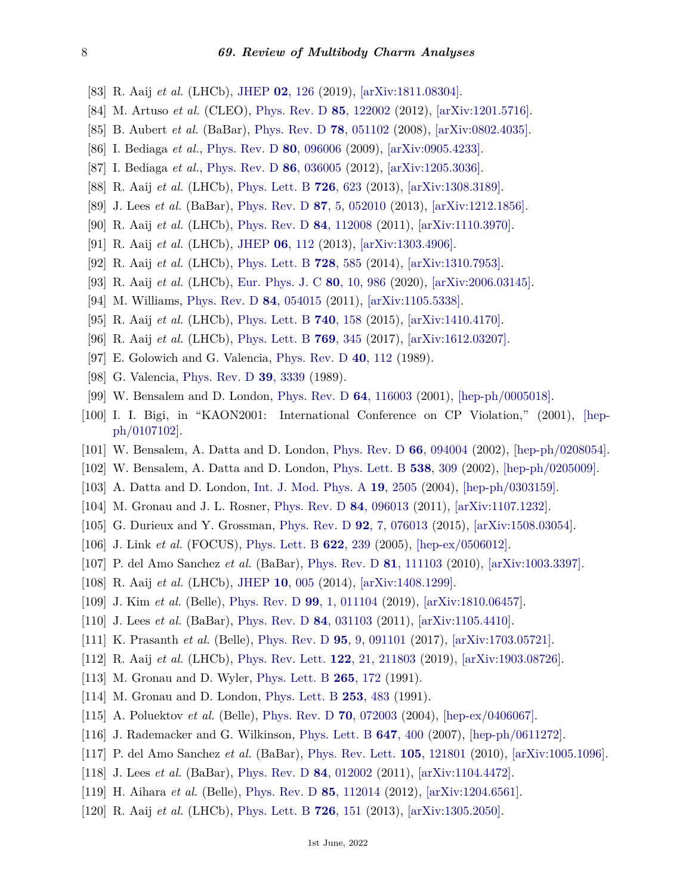- <span id="page-7-0"></span>[83] R. Aaij *et al.* (LHCb), [JHEP](http://doi.org/10.1007/JHEP02(2019)126) **02**[, 126](http://doi.org/10.1007/JHEP02(2019)126) (2019), [\[arXiv:1811.08304\].](https://arxiv.org/abs/1811.08304)
- <span id="page-7-1"></span>[84] M. Artuso *et al.* (CLEO), [Phys. Rev. D](http://doi.org/10.1103/PhysRevD.85.122002) **85**[, 122002](http://doi.org/10.1103/PhysRevD.85.122002) (2012), [\[arXiv:1201.5716\].](https://arxiv.org/abs/1201.5716)
- <span id="page-7-2"></span>[85] B. Aubert *et al.* (BaBar), [Phys. Rev. D](http://doi.org/10.1103/PhysRevD.78.051102) **78**[, 051102](http://doi.org/10.1103/PhysRevD.78.051102) (2008), [\[arXiv:0802.4035\].](https://arxiv.org/abs/0802.4035)
- <span id="page-7-3"></span>[86] I. Bediaga *et al.*, [Phys. Rev. D](http://doi.org/10.1103/PhysRevD.80.096006) **80**[, 096006](http://doi.org/10.1103/PhysRevD.80.096006) (2009), [\[arXiv:0905.4233\].](https://arxiv.org/abs/0905.4233)
- [87] I. Bediaga *et al.*, [Phys. Rev. D](http://doi.org/10.1103/PhysRevD.86.036005) **86**[, 036005](http://doi.org/10.1103/PhysRevD.86.036005) (2012), [\[arXiv:1205.3036\].](https://arxiv.org/abs/1205.3036)
- <span id="page-7-4"></span>[88] R. Aaij *et al.* (LHCb), [Phys. Lett. B](http://doi.org/10.1016/j.physletb.2013.09.011) **726**[, 623](http://doi.org/10.1016/j.physletb.2013.09.011) (2013), [\[arXiv:1308.3189\].](https://arxiv.org/abs/1308.3189)
- <span id="page-7-5"></span>[89] J. Lees *et al.* (BaBar), [Phys. Rev. D](http://doi.org/10.1103/PhysRevD.87.052010) **87**[, 5, 052010](http://doi.org/10.1103/PhysRevD.87.052010) (2013), [\[arXiv:1212.1856\].](https://arxiv.org/abs/1212.1856)
- <span id="page-7-6"></span>[90] R. Aaij *et al.* (LHCb), [Phys. Rev. D](http://doi.org/10.1103/PhysRevD.84.112008) **84**[, 112008](http://doi.org/10.1103/PhysRevD.84.112008) (2011), [\[arXiv:1110.3970\].](https://arxiv.org/abs/1110.3970)
- <span id="page-7-7"></span>[91] R. Aaij *et al.* (LHCb), [JHEP](http://doi.org/10.1007/JHEP06(2013)112) **06**[, 112](http://doi.org/10.1007/JHEP06(2013)112) (2013), [\[arXiv:1303.4906\].](https://arxiv.org/abs/1303.4906)
- <span id="page-7-8"></span>[92] R. Aaij *et al.* (LHCb), [Phys. Lett. B](http://doi.org/10.1016/j.physletb.2013.12.035) **728**[, 585](http://doi.org/10.1016/j.physletb.2013.12.035) (2014), [\[arXiv:1310.7953\].](https://arxiv.org/abs/1310.7953)
- <span id="page-7-9"></span>[93] R. Aaij *et al.* (LHCb), [Eur. Phys. J. C](http://doi.org/10.1140/epjc/s10052-020-8365-0) **80**[, 10, 986](http://doi.org/10.1140/epjc/s10052-020-8365-0) (2020), [\[arXiv:2006.03145\].](https://arxiv.org/abs/2006.03145)
- <span id="page-7-10"></span>[94] M. Williams, [Phys. Rev. D](http://doi.org/10.1103/PhysRevD.84.054015) **84**[, 054015](http://doi.org/10.1103/PhysRevD.84.054015) (2011), [\[arXiv:1105.5338\].](https://arxiv.org/abs/1105.5338)
- <span id="page-7-11"></span>[95] R. Aaij *et al.* (LHCb), [Phys. Lett. B](http://doi.org/10.1016/j.physletb.2014.11.043) **740**[, 158](http://doi.org/10.1016/j.physletb.2014.11.043) (2015), [\[arXiv:1410.4170\].](https://arxiv.org/abs/1410.4170)
- <span id="page-7-12"></span>[96] R. Aaij *et al.* (LHCb), [Phys. Lett. B](http://doi.org/10.1016/j.physletb.2017.03.062) **769**[, 345](http://doi.org/10.1016/j.physletb.2017.03.062) (2017), [\[arXiv:1612.03207\].](https://arxiv.org/abs/1612.03207)
- <span id="page-7-13"></span>[97] E. Golowich and G. Valencia, [Phys. Rev. D](http://doi.org/10.1103/PhysRevD.40.112) **40**[, 112](http://doi.org/10.1103/PhysRevD.40.112) (1989).
- [98] G. Valencia, [Phys. Rev. D](http://doi.org/10.1103/PhysRevD.39.3339) **39**[, 3339](http://doi.org/10.1103/PhysRevD.39.3339) (1989).
- [99] W. Bensalem and D. London, [Phys. Rev. D](http://doi.org/10.1103/PhysRevD.64.116003) **64**[, 116003](http://doi.org/10.1103/PhysRevD.64.116003) (2001), [\[hep-ph/0005018\].](https://arxiv.org/abs/hep-ph/0005018)
- [100] I. I. Bigi, in "KAON2001: International Conference on CP Violation," (2001), [\[hep](https://arxiv.org/abs/hep-ph/0107102)[ph/0107102\].](https://arxiv.org/abs/hep-ph/0107102)
- [101] W. Bensalem, A. Datta and D. London, [Phys. Rev. D](http://doi.org/10.1103/PhysRevD.66.094004) **66**[, 094004](http://doi.org/10.1103/PhysRevD.66.094004) (2002), [\[hep-ph/0208054\].](https://arxiv.org/abs/hep-ph/0208054)
- [102] W. Bensalem, A. Datta and D. London, [Phys. Lett. B](http://doi.org/10.1016/S0370-2693(02)02028-2) **538**[, 309](http://doi.org/10.1016/S0370-2693(02)02028-2) (2002), [\[hep-ph/0205009\].](https://arxiv.org/abs/hep-ph/0205009)
- [103] A. Datta and D. London, [Int. J. Mod. Phys. A](http://doi.org/10.1142/S0217751X04018300) **19**[, 2505](http://doi.org/10.1142/S0217751X04018300) (2004), [\[hep-ph/0303159\].](https://arxiv.org/abs/hep-ph/0303159)
- [104] M. Gronau and J. L. Rosner, [Phys. Rev. D](http://doi.org/10.1103/PhysRevD.84.096013) **84**[, 096013](http://doi.org/10.1103/PhysRevD.84.096013) (2011), [\[arXiv:1107.1232\].](https://arxiv.org/abs/1107.1232)
- <span id="page-7-14"></span>[105] G. Durieux and Y. Grossman, [Phys. Rev. D](http://doi.org/10.1103/PhysRevD.92.076013) **92**[, 7, 076013](http://doi.org/10.1103/PhysRevD.92.076013) (2015), [\[arXiv:1508.03054\].](https://arxiv.org/abs/1508.03054)
- <span id="page-7-15"></span>[106] J. Link *et al.* (FOCUS), [Phys. Lett. B](http://doi.org/10.1016/j.physletb.2005.07.024) **622**[, 239](http://doi.org/10.1016/j.physletb.2005.07.024) (2005), [\[hep-ex/0506012\].](https://arxiv.org/abs/hep-ex/0506012)
- [107] P. del Amo Sanchez *et al.* (BaBar), [Phys. Rev. D](http://doi.org/10.1103/PhysRevD.81.111103) **81**[, 111103](http://doi.org/10.1103/PhysRevD.81.111103) (2010), [\[arXiv:1003.3397\].](https://arxiv.org/abs/1003.3397)
- <span id="page-7-19"></span>[108] R. Aaij *et al.* (LHCb), [JHEP](http://doi.org/10.1007/JHEP10(2014)005) **10**[, 005](http://doi.org/10.1007/JHEP10(2014)005) (2014), [\[arXiv:1408.1299\].](https://arxiv.org/abs/1408.1299)
- <span id="page-7-16"></span>[109] J. Kim *et al.* (Belle), [Phys. Rev. D](http://doi.org/10.1103/PhysRevD.99.011104) **99**[, 1, 011104](http://doi.org/10.1103/PhysRevD.99.011104) (2019), [\[arXiv:1810.06457\].](https://arxiv.org/abs/1810.06457)
- <span id="page-7-17"></span>[110] J. Lees *et al.* (BaBar), [Phys. Rev. D](http://doi.org/10.1103/PhysRevD.84.031103) **84**[, 031103](http://doi.org/10.1103/PhysRevD.84.031103) (2011), [\[arXiv:1105.4410\].](https://arxiv.org/abs/1105.4410)
- <span id="page-7-18"></span>[111] K. Prasanth *et al.* (Belle), [Phys. Rev. D](http://doi.org/10.1103/PhysRevD.95.091101) **95**[, 9, 091101](http://doi.org/10.1103/PhysRevD.95.091101) (2017), [\[arXiv:1703.05721\].](https://arxiv.org/abs/1703.05721)
- <span id="page-7-20"></span>[112] R. Aaij *et al.* (LHCb), [Phys. Rev. Lett.](http://doi.org/10.1103/PhysRevLett.122.211803) **122**[, 21, 211803](http://doi.org/10.1103/PhysRevLett.122.211803) (2019), [\[arXiv:1903.08726\].](https://arxiv.org/abs/1903.08726)
- <span id="page-7-21"></span>[113] M. Gronau and D. Wyler, [Phys. Lett. B](http://doi.org/10.1016/0370-2693(91)90034-N) **265**[, 172](http://doi.org/10.1016/0370-2693(91)90034-N) (1991).
- [114] M. Gronau and D. London, [Phys. Lett. B](http://doi.org/10.1016/0370-2693(91)91756-L) **253**[, 483](http://doi.org/10.1016/0370-2693(91)91756-L) (1991).
- [115] A. Poluektov *et al.* (Belle), [Phys. Rev. D](http://doi.org/10.1103/PhysRevD.70.072003) **70**[, 072003](http://doi.org/10.1103/PhysRevD.70.072003) (2004), [\[hep-ex/0406067\].](https://arxiv.org/abs/hep-ex/0406067)
- <span id="page-7-22"></span>[116] J. Rademacker and G. Wilkinson, [Phys. Lett. B](http://doi.org/10.1016/j.physletb.2007.01.071) **647**[, 400](http://doi.org/10.1016/j.physletb.2007.01.071) (2007), [\[hep-ph/0611272\].](https://arxiv.org/abs/hep-ph/0611272)
- <span id="page-7-23"></span>[117] P. del Amo Sanchez *et al.* (BaBar), [Phys. Rev. Lett.](http://doi.org/10.1103/PhysRevLett.105.121801) **105**[, 121801](http://doi.org/10.1103/PhysRevLett.105.121801) (2010), [\[arXiv:1005.1096\].](https://arxiv.org/abs/1005.1096)
- <span id="page-7-24"></span>[118] J. Lees *et al.* (BaBar), [Phys. Rev. D](http://doi.org/10.1103/PhysRevD.84.012002) **84**[, 012002](http://doi.org/10.1103/PhysRevD.84.012002) (2011), [\[arXiv:1104.4472\].](https://arxiv.org/abs/1104.4472)
- <span id="page-7-26"></span><span id="page-7-25"></span>[119] H. Aihara *et al.* (Belle), [Phys. Rev. D](http://doi.org/10.1103/PhysRevD.85.112014) **85**[, 112014](http://doi.org/10.1103/PhysRevD.85.112014) (2012), [\[arXiv:1204.6561\].](https://arxiv.org/abs/1204.6561)
- [120] R. Aaij *et al.* (LHCb), [Phys. Lett. B](http://doi.org/10.1016/j.physletb.2013.08.020) **726**[, 151](http://doi.org/10.1016/j.physletb.2013.08.020) (2013), [\[arXiv:1305.2050\].](https://arxiv.org/abs/1305.2050)